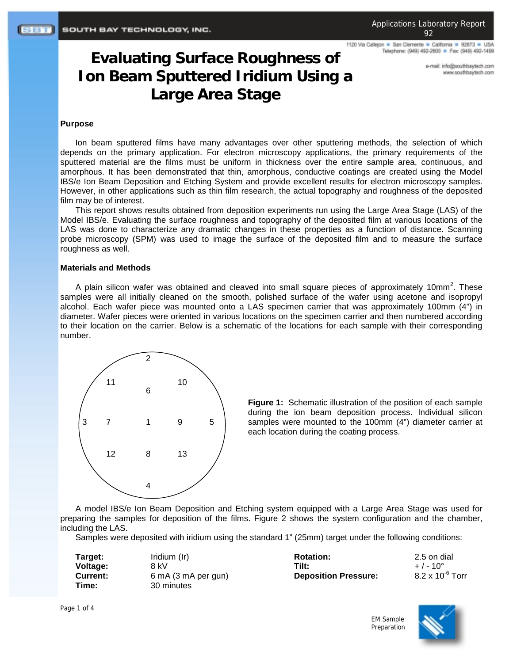1120 Via Callejon = San Clemente = California = 92673 = USA Telephone: (949) 492-2600 = Fax: (949) 492-1499

> e-mail: info@southbaytech.com www.southbaytech.com

# **Evaluating Surface Roughness of Ion Beam Sputtered Iridium Using a Large Area Stage**

# **Purpose**

Ion beam sputtered films have many advantages over other sputtering methods, the selection of which depends on the primary application. For electron microscopy applications, the primary requirements of the sputtered material are the films must be uniform in thickness over the entire sample area, continuous, and amorphous. It has been demonstrated that thin, amorphous, conductive coatings are created using the Model IBS/e Ion Beam Deposition and Etching System and provide excellent results for electron microscopy samples. However, in other applications such as thin film research, the actual topography and roughness of the deposited film may be of interest.

This report shows results obtained from deposition experiments run using the Large Area Stage (LAS) of the Model IBS/e. Evaluating the surface roughness and topography of the deposited film at various locations of the LAS was done to characterize any dramatic changes in these properties as a function of distance. Scanning probe microscopy (SPM) was used to image the surface of the deposited film and to measure the surface roughness as well.

### **Materials and Methods**

A plain silicon wafer was obtained and cleaved into small square pieces of approximately 10mm<sup>2</sup>. These samples were all initially cleaned on the smooth, polished surface of the wafer using acetone and isopropyl alcohol. Each wafer piece was mounted onto a LAS specimen carrier that was approximately 100mm (4") in diameter. Wafer pieces were oriented in various locations on the specimen carrier and then numbered according to their location on the carrier. Below is a schematic of the locations for each sample with their corresponding number.



**Figure 1:** Schematic illustration of the position of each sample during the ion beam deposition process. Individual silicon samples were mounted to the 100mm (4") diameter carrier at each location during the coating process.

A model IBS/e Ion Beam Deposition and Etching system equipped with a Large Area Stage was used for preparing the samples for deposition of the films. Figure 2 shows the system configuration and the chamber, including the LAS.

Samples were deposited with iridium using the standard 1" (25mm) target under the following conditions:

| Target:<br>Voltage: | Iridium (Ir)<br>8 kV | <b>Rotation:</b><br>Tilt:   | 2.5 on dial<br>$+$ / - 10 $^{\circ}$ |
|---------------------|----------------------|-----------------------------|--------------------------------------|
| Current:            | 6 mA (3 mA per gun)  | <b>Deposition Pressure:</b> | $8.2 \times 10^{-6}$ Torr            |
| Time:               | 30 minutes           |                             |                                      |

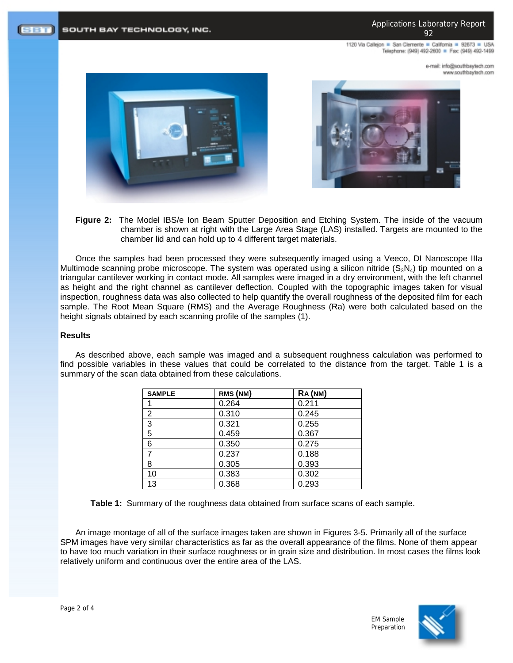1120 Via Calleion . San Clemente . California . 92673 . USA Telephone: (949) 492-2600 = Fax: (949) 492-1499

> e-mail: info@southbaytech.com www.southbaytech.com



SOUTH BAY TECHNOLOGY, INC.



**Figure 2:** The Model IBS/e Ion Beam Sputter Deposition and Etching System. The inside of the vacuum chamber is shown at right with the Large Area Stage (LAS) installed. Targets are mounted to the chamber lid and can hold up to 4 different target materials.

Once the samples had been processed they were subsequently imaged using a Veeco, DI Nanoscope IIIa Multimode scanning probe microscope. The system was operated using a silicon nitride  $(S_3N_4)$  tip mounted on a triangular cantilever working in contact mode. All samples were imaged in a dry environment, with the left channel as height and the right channel as cantilever deflection. Coupled with the topographic images taken for visual inspection, roughness data was also collected to help quantify the overall roughness of the deposited film for each sample. The Root Mean Square (RMS) and the Average Roughness (Ra) were both calculated based on the height signals obtained by each scanning profile of the samples (1).

# **Results**

**SBT** 

As described above, each sample was imaged and a subsequent roughness calculation was performed to find possible variables in these values that could be correlated to the distance from the target. Table 1 is a summary of the scan data obtained from these calculations.

| <b>SAMPLE</b> | RMS (NM) | RA (NM) |
|---------------|----------|---------|
|               | 0.264    | 0.211   |
| 2             | 0.310    | 0.245   |
| 3             | 0.321    | 0.255   |
| 5             | 0.459    | 0.367   |
| 6             | 0.350    | 0.275   |
| 7             | 0.237    | 0.188   |
| 8             | 0.305    | 0.393   |
| 10            | 0.383    | 0.302   |
| 13            | 0.368    | 0.293   |

**Table 1:** Summary of the roughness data obtained from surface scans of each sample.

An image montage of all of the surface images taken are shown in Figures 3-5. Primarily all of the surface SPM images have very similar characteristics as far as the overall appearance of the films. None of them appear to have too much variation in their surface roughness or in grain size and distribution. In most cases the films look relatively uniform and continuous over the entire area of the LAS.

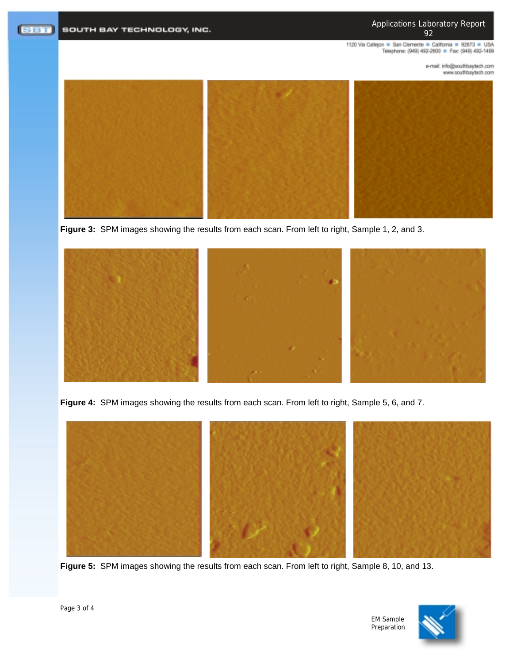Applications Laboratory Report 92

1120 Via Callejon = San Clemente = California = 92673 = USA<br>Telephone: (949) 492-2600 = Fax: (949) 492-1499

e-mail: info@southbaytech.com www.southbaytech.com



**Figure 3:** SPM images showing the results from each scan. From left to right, Sample 1, 2, and 3.



**Figure 4:** SPM images showing the results from each scan. From left to right, Sample 5, 6, and 7.



**Figure 5:** SPM images showing the results from each scan. From left to right, Sample 8, 10, and 13.



EM Sample Preparation